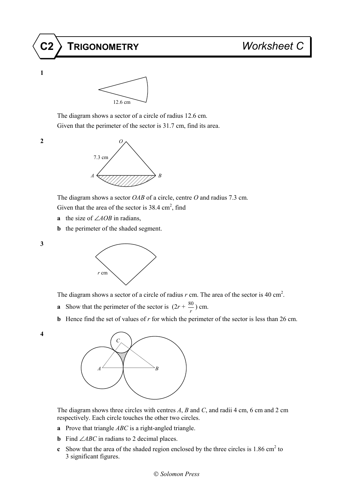



 The diagram shows a sector of a circle of radius 12.6 cm. Given that the perimeter of the sector is 31.7 cm, find its area.

**1**



The diagram shows a sector *OAB* of a circle, centre *O* and radius 7.3 cm.

Given that the area of the sector is  $38.4 \text{ cm}^2$ , find

- **a** the size of ∠*AOB* in radians,
- **b** the perimeter of the shaded segment.

**3**



The diagram shows a sector of a circle of radius  $r$  cm. The area of the sector is 40 cm<sup>2</sup>.

- **a** Show that the perimeter of the sector is  $(2r + \frac{80}{r})$  cm.
- **b** Hence find the set of values of *r* for which the perimeter of the sector is less than 26 cm.
- **4**



 The diagram shows three circles with centres *A*, *B* and *C*, and radii 4 cm, 6 cm and 2 cm respectively. Each circle touches the other two circles.

- **a** Prove that triangle *ABC* is a right-angled triangle.
- **b** Find ∠*ABC* in radians to 2 decimal places.
- **c** Show that the area of the shaded region enclosed by the three circles is  $1.86 \text{ cm}^2$  to 3 significant figures.